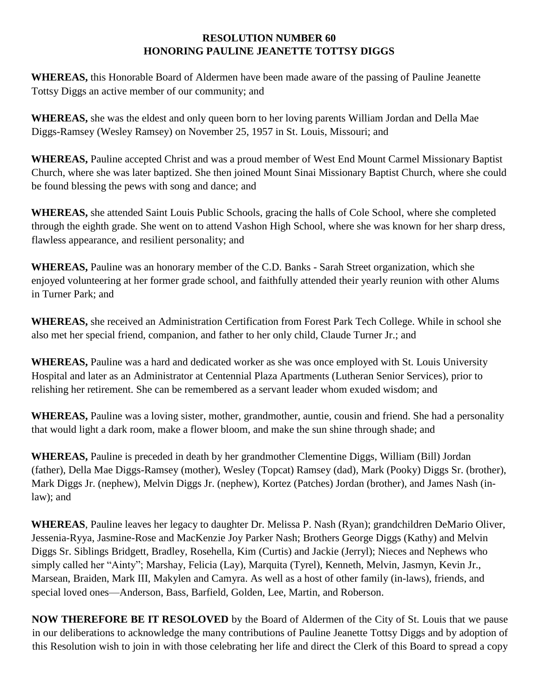## **RESOLUTION NUMBER 60 HONORING PAULINE JEANETTE TOTTSY DIGGS**

**WHEREAS,** this Honorable Board of Aldermen have been made aware of the passing of Pauline Jeanette Tottsy Diggs an active member of our community; and

**WHEREAS,** she was the eldest and only queen born to her loving parents William Jordan and Della Mae Diggs-Ramsey (Wesley Ramsey) on November 25, 1957 in St. Louis, Missouri; and

**WHEREAS,** Pauline accepted Christ and was a proud member of West End Mount Carmel Missionary Baptist Church, where she was later baptized. She then joined Mount Sinai Missionary Baptist Church, where she could be found blessing the pews with song and dance; and

**WHEREAS,** she attended Saint Louis Public Schools, gracing the halls of Cole School, where she completed through the eighth grade. She went on to attend Vashon High School, where she was known for her sharp dress, flawless appearance, and resilient personality; and

**WHEREAS,** Pauline was an honorary member of the C.D. Banks - Sarah Street organization, which she enjoyed volunteering at her former grade school, and faithfully attended their yearly reunion with other Alums in Turner Park; and

**WHEREAS,** she received an Administration Certification from Forest Park Tech College. While in school she also met her special friend, companion, and father to her only child, Claude Turner Jr.; and

**WHEREAS,** Pauline was a hard and dedicated worker as she was once employed with St. Louis University Hospital and later as an Administrator at Centennial Plaza Apartments (Lutheran Senior Services), prior to relishing her retirement. She can be remembered as a servant leader whom exuded wisdom; and

**WHEREAS,** Pauline was a loving sister, mother, grandmother, auntie, cousin and friend. She had a personality that would light a dark room, make a flower bloom, and make the sun shine through shade; and

**WHEREAS,** Pauline is preceded in death by her grandmother Clementine Diggs, William (Bill) Jordan (father), Della Mae Diggs-Ramsey (mother), Wesley (Topcat) Ramsey (dad), Mark (Pooky) Diggs Sr. (brother), Mark Diggs Jr. (nephew), Melvin Diggs Jr. (nephew), Kortez (Patches) Jordan (brother), and James Nash (inlaw); and

**WHEREAS**, Pauline leaves her legacy to daughter Dr. Melissa P. Nash (Ryan); grandchildren DeMario Oliver, Jessenia-Ryya, Jasmine-Rose and MacKenzie Joy Parker Nash; Brothers George Diggs (Kathy) and Melvin Diggs Sr. Siblings Bridgett, Bradley, Rosehella, Kim (Curtis) and Jackie (Jerryl); Nieces and Nephews who simply called her "Ainty"; Marshay, Felicia (Lay), Marquita (Tyrel), Kenneth, Melvin, Jasmyn, Kevin Jr., Marsean, Braiden, Mark III, Makylen and Camyra. As well as a host of other family (in-laws), friends, and special loved ones—Anderson, Bass, Barfield, Golden, Lee, Martin, and Roberson.

**NOW THEREFORE BE IT RESOLOVED** by the Board of Aldermen of the City of St. Louis that we pause in our deliberations to acknowledge the many contributions of Pauline Jeanette Tottsy Diggs and by adoption of this Resolution wish to join in with those celebrating her life and direct the Clerk of this Board to spread a copy